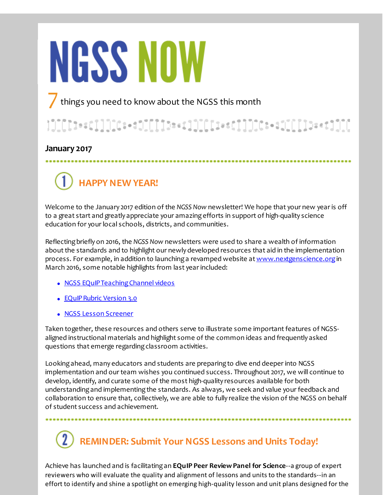# **NGSS NOW**

things you need to know about the NGSS this month

### 

#### **January 2017**

**HAPPY NEW YEAR!**

Welcome to the January 2017 edition of the *NGSS Now* newsletter! We hope that your new year is off to a great start and greatly appreciate your amazingefforts in support of high-quality science education for your local schools, districts, and communities.

Reflectingbriefly on 2016, the *NGSS Now* newsletters were used to share a wealth of information about the standards and to highlight our newly developed resources that aid in the implementation process. For example, in addition to launching a revamped website at [www.nextgenscience.org](http://r20.rs6.net/tn.jsp?f=001LBHd9YEUu13magD6uZ1Lrgq5j2on4tdyf9WH_EpWpFPwkOeMlbbNYgpyzlMbWbQWZQZiw0nIqyd3bRz8RYDbICtGvW-cQBpb52LBe1-XifH5ajeWlyv-eOo8CUkBFeby65UgtQY_pZNq2XPMd-qzOfCKIpQHAjJCbaG2PvgXzPgaP50UGYonwg==&c=&ch=) in March 2016, some notable highlights from last year included:

- NGSS EQuIPTeaching Channel videos
- EQuIP Rubric Version 3.0
- NGSS Lesson [Screener](http://r20.rs6.net/tn.jsp?f=001LBHd9YEUu13magD6uZ1Lrgq5j2on4tdyf9WH_EpWpFPwkOeMlbbNYiSziSopcAVMjH6GgMrlAYg1lU-XM_7pVlpwE5Ey0qu8sjm7VCjLiiOnIyop7V0BKioYIwxFur8wEUFgWG4B5mKlEBCktSwzDQ0CjfAT_n5pX6b6BQcycZjkwpValBiJ9StNeH3_C41BYkOPO7-4Fh9mYWwVuascyi_pBPyqKZPutkfUkZy5dSK_FekurqIKIEMFtQDCKhVF3OBGMWdKkj4=&c=&ch=)

Taken together, these resources and others serve to illustrate some important features of NGSSaligned instructional materials and highlight some of the common ideas and frequently asked questions that emerge regarding classroom activities.

Lookingahead, many educators and students are preparingto dive end deeper into NGSS implementation and our team wishes you continued success. Throughout 2017, we will continue to develop, identify, and curate some of the most high-quality resources available for both understandingand implementingthe standards. As always, we seek and value your feedback and collaboration to ensure that, collectively, we are able to fully realize the vision of the NGSS on behalf of student success and achievement.

#### **REMINDER: Submit Your NGSS Lessons and Units Today!**

Achieve has launched and is facilitatingan **EQuIP Peer ReviewPanel for Science**--a group of expert reviewers who will evaluate the quality and alignment of lessons and units to the standards--in an effort to identify and shine a spotlight on emerging high-quality lesson and unit plans designed for the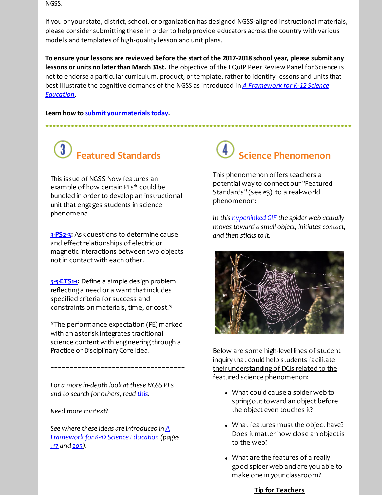NGSS.

If you or your state, district, school, or organization has designed NGSS-aligned instructional materials, please consider submitting these in order to help provide educators across the country with various models and templates of high-quality lesson and unit plans.

**To ensure your lessons are reviewed before the start of the 2017-2018 school year, please submit any lessons or units no later than March 31st.** The objective of the EQuIP Peer Review Panel for Science is not to endorse a particular curriculum, product, or template, rather to identify lessons and units that best illustrate the cognitive demands of the NGSS as introduced in *A [Framework](http://r20.rs6.net/tn.jsp?f=001LBHd9YEUu13magD6uZ1Lrgq5j2on4tdyf9WH_EpWpFPwkOeMlbbNYlx3LUudJ9Acz7MgoQM34g4jerR4oluHu7rsA5AHZ6Y1LaJ1E9TWrsKOmA8FeJzK1lMwN8dUKZzuEFcH5fHxqQ0oymIb9lc1vqKKxtHf_vqLwez0fIeZ5Y78yLnkDzdnwEBhQAMIgPQeXDYwqwKWjtARqJy5i8ROySBHre13oo4Kv7dg_xAFDWhMblUtNjJwEkpH9DsVB3oe&c=&ch=) for K-12 Science Education*.

**Learn how to submit your [materials](http://r20.rs6.net/tn.jsp?f=001LBHd9YEUu13magD6uZ1Lrgq5j2on4tdyf9WH_EpWpFPwkOeMlbbNYiSziSopcAVMxXRWm1OOVdnIsAFZIqwCp2BJef7pXF9ibmaP6Xfp_Bmd6nC9cjsFXwpQD_z_5Tv8jJs2KAmAjRREK7HAeqJt7HhNWX4__s8gFxKTi1dYTxEY68QY3YGP2DgVltsXdJ2s6tBQQsdDdrz83a8mbBMW5w==&c=&ch=) today.**

## **Featured Standards**

This issue of NGSS Now features an example of how certain PEs\* could be bundled in order to develop an instructional unit that engages students in science phenomena.

**[3-PS2-3](http://r20.rs6.net/tn.jsp?f=001LBHd9YEUu13magD6uZ1Lrgq5j2on4tdyf9WH_EpWpFPwkOeMlbbNYiSziSopcAVM2BBQo8y2gUk9szjF4vYDITiwnnijVWYI7NpGzOmZQ9YEWcWq9t9SB-Tv6galWClmSTLdJvYU3hNKjtVks-3nqv15ahYx07eRnDsw4W290ThysIjz2ibs3rFyvk26eyI5pA8MrI15X9FrjtI-YaaLFfh0bF9gtsKPsWwlyVSL8wyGK6f19naWXlWzgn3ozVHh&c=&ch=):** Ask questions to determine cause and effect relationships of electric or magnetic interactions between two objects notin contact with each other.

**[3-5-ETS1-1](http://r20.rs6.net/tn.jsp?f=001LBHd9YEUu13magD6uZ1Lrgq5j2on4tdyf9WH_EpWpFPwkOeMlbbNYiSziSopcAVM0cYeNektdiI0OPCR0EnVK3dms5iT9kZ4XP1KeA9dty3p7U44x935pGiBUjemOSrLWqGLH5pNODl1UtgUcg30KmFNfmwfkQD-RFfJQYCHTYWHTIALB5i-O9z7E7hUMfQf5dWUbDEN3BU_2FBvP-0eHb0kS9a64vOi6xK_IEH_OYwPgHTYHmudkw==&c=&ch=):** Define a simple design problem reflecting a need or a want that includes specified criteria for success and constraints on materials, time, or cost.\*

\*The performance expectation (PE) marked with an asterisk integrates traditional science content with engineering through a Practice or Disciplinary Core Idea.

===================================

*For a more in-depth look atthese NGSS PEs and to search for others, read [this](http://r20.rs6.net/tn.jsp?f=001LBHd9YEUu13magD6uZ1Lrgq5j2on4tdyf9WH_EpWpFPwkOeMlbbNYlx3LUudJ9AcxekQyUomyh6AgjE7Mg-v_b8-D08amLgnMl8u0hnSE7IRol14yebenLTGsHQgLnZkttBSbRhG_M0iBcekBsoGYbdXODwJR5gFipHV87zE9_IDvYqAdpf38F2klkZq2cYDYvQux65dH18=&c=&ch=).*

*Need more context?*

*See where these ideas are introduced in A [Framework](http://r20.rs6.net/tn.jsp?f=001LBHd9YEUu13magD6uZ1Lrgq5j2on4tdyf9WH_EpWpFPwkOeMlbbNYiSziSopcAVMlJwe6rSHvCg98v-93iyJC-SDBqKCai6AyElfXKXU-HYdZH7GVmgBIUJMC-iCW0U6OQazNL6aEUCdoQ1WdYHwMmJhgpoTSzec09GDxhXHcVvjlLQE1Re8498r0hYeyd6byzKOt68HBqRbLlUPD2bg_PRM4bNAzFE-I4mDImvSmtc-BERwMvg9zMcD0BQNDWPotwwzD-NF7gbaUZ-XmkVg--Ffi67mf87z&c=&ch=) for K-12 Science Education (pages [117](http://r20.rs6.net/tn.jsp?f=001LBHd9YEUu13magD6uZ1Lrgq5j2on4tdyf9WH_EpWpFPwkOeMlbbNYiSziSopcAVMMEKCkqpLkDdaESgJ-itfqK2J0kxu7-i2cXrXyQGRR6up_IOP5PQFXoN2iCmuiBRvdz1e6CENFAVfDQMVaP76_6BlIdglhmjcGbHkt4FeQ5ZO-blVtJa48JSgQ4f8pwky-XEE-8wSooQInQfTXyZFZQ==&c=&ch=) and [205](http://r20.rs6.net/tn.jsp?f=001LBHd9YEUu13magD6uZ1Lrgq5j2on4tdyf9WH_EpWpFPwkOeMlbbNYiSziSopcAVMvdJ2YipVwu9DJzkqC0dj4JAKJdr0N4Bp7Vjrv3erV8FUjTyXBgVcq4pDT57PScFN7lTnuZkoj-44NQK3Fs2Y2jw5KdRrcSHmp-alBmZfrXcOnTBWqAFuQlKONU7wEXxFPUpjJM9Pmf6OvNN_X6YvSw==&c=&ch=)).*

## **Science Phenomenon**

This phenomenon offers teachers a potential way to connect our "Featured Standards" (see #3) to a real-world phenomenon:

*In this [hyperlinked](http://r20.rs6.net/tn.jsp?f=001LBHd9YEUu13magD6uZ1Lrgq5j2on4tdyf9WH_EpWpFPwkOeMlbbNYiSziSopcAVM58l0xO-l9n1ykzc7db93VrghxVN-QhbqUZGncZkRZsbP1CYfCSHh6SPm9azIzDiorNhdyfMYPFkQHKLCoORF-9YFPSXGDoaoksVsQ-JaI5y27NvqV1CxOqbP1nUOZnnrlS_QWeZpwYNUFPihqh_mxd9hiechpZESrAZKqhlgwDM=&c=&ch=) GIF the spider web actually moves toward a small object, initiates contact, and then sticks to it.*



Below are some high-level lines of student inquiry that could help students facilitate their understandingof DCIs related to the featured science phenomenon:

- What could cause a spider web to spring out toward an object before the object even touches it?
- What features must the object have? Does it matter how close an object is to the web?
- What are the features of a really good spider web and are you able to make one in your classroom?

**Tip for Teachers**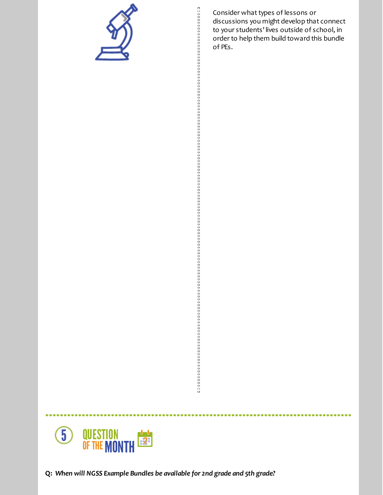

Consider what types of lessons or discussions you might develop that connect to your students' lives outside of school, in order to help them build toward this bundle of PEs.

............................

**Communication** 



.........

**Q:** *When will NGSS Example Bundles be available for 2nd grade and 5th grade?*

..............

.<br>.<br>.<br>.<br>.